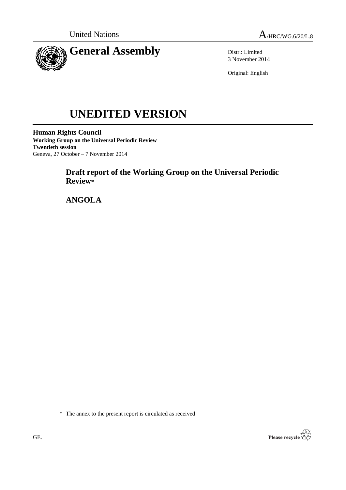



Distr.: Limited 3 November 2014

Original: English

# **UNEDITED VERSION**

**Human Rights Council Working Group on the Universal Periodic Review Twentieth session** Geneva, 27 October – 7 November 2014

# **Draft report of the Working Group on the Universal Periodic Review\***

**ANGOLA**

\* The annex to the present report is circulated as received

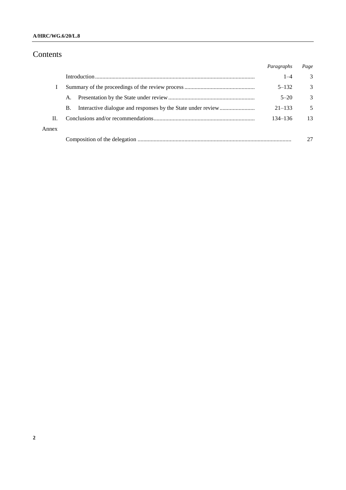## **A/HRC/WG.6/20/L.8**

## Contents

|       |           | Paragraphs | Page |
|-------|-----------|------------|------|
|       |           | $1 - 4$    | 3    |
|       |           | $5 - 132$  | 3    |
|       | A.        | $5 - 20$   | 3    |
|       | <b>B.</b> | $21 - 133$ | 5    |
| Н.    |           | 134–136    | 13   |
| Annex |           |            |      |
|       |           |            | 27   |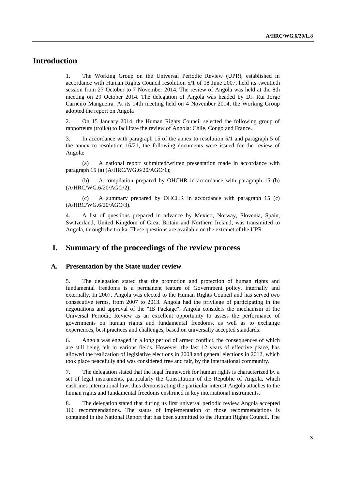## **Introduction**

1. The Working Group on the Universal Periodic Review (UPR), established in accordance with Human Rights Council resolution 5/1 of 18 June 2007, held its twentieth session from 27 October to 7 November 2014. The review of Angola was held at the 8th meeting on 29 October 2014. The delegation of Angola was headed by Dr. Rui Jorge Carneiro Mangueira. At its 14th meeting held on 4 November 2014, the Working Group adopted the report on Angola

2. On 15 January 2014, the Human Rights Council selected the following group of rapporteurs (troika) to facilitate the review of Angola: Chile, Congo and France.

3. In accordance with paragraph 15 of the annex to resolution 5/1 and paragraph 5 of the annex to resolution 16/21, the following documents were issued for the review of Angola:

(a) A national report submitted/written presentation made in accordance with paragraph 15 (a) (A/HRC/WG.6/20/AGO/1);

(b) A compilation prepared by OHCHR in accordance with paragraph 15 (b) (A/HRC/WG.6/20/AGO/2);

(c) A summary prepared by OHCHR in accordance with paragraph 15 (c) (A/HRC/WG.6/20/AGO/3).

4. A list of questions prepared in advance by Mexico, Norway, Slovenia, Spain, Switzerland, United Kingdom of Great Britain and Northern Ireland, was transmitted to Angola, through the troika. These questions are available on the extranet of the UPR.

## **I. Summary of the proceedings of the review process**

#### **A. Presentation by the State under review**

5. The delegation stated that the promotion and protection of human rights and fundamental freedoms is a permanent feature of Government policy, internally and externally. In 2007, Angola was elected to the Human Rights Council and has served two consecutive terms, from 2007 to 2013. Angola had the privilege of participating in the negotiations and approval of the "IB Package". Angola considers the mechanism of the Universal Periodic Review as an excellent opportunity to assess the performance of governments on human rights and fundamental freedoms, as well as to exchange experiences, best practices and challenges, based on universally accepted standards.

6. Angola was engaged in a long period of armed conflict, the consequences of which are still being felt in various fields. However, the last 12 years of effective peace, has allowed the realization of legislative elections in 2008 and general elections in 2012, which took place peacefully and was considered free and fair, by the international community.

7. The delegation stated that the legal framework for human rights is characterized by a set of legal instruments, particularly the Constitution of the Republic of Angola, which enshrines international law, thus demonstrating the particular interest Angola attaches to the human rights and fundamental freedoms enshrined in key international instruments.

8. The delegation stated that during its first universal periodic review Angola accepted 166 recommendations. The status of implementation of those recommendations is contained in the National Report that has been submitted to the Human Rights Council. The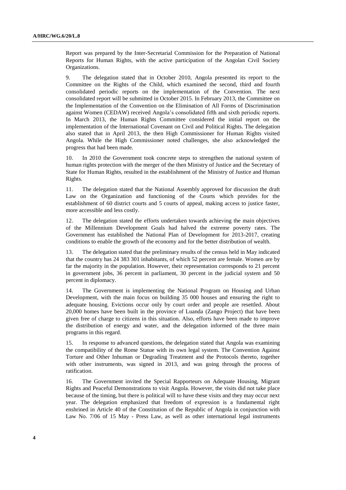Report was prepared by the Inter-Secretarial Commission for the Preparation of National Reports for Human Rights, with the active participation of the Angolan Civil Society Organizations.

9. The delegation stated that in October 2010, Angola presented its report to the Committee on the Rights of the Child, which examined the second, third and fourth consolidated periodic reports on the implementation of the Convention. The next consolidated report will be submitted in October 2015. In February 2013, the Committee on the Implementation of the Convention on the Elimination of All Forms of Discrimination against Women (CEDAW) received Angola's consolidated fifth and sixth periodic reports. In March 2013, the Human Rights Committee considered the initial report on the implementation of the International Covenant on Civil and Political Rights. The delegation also stated that in April 2013, the then High Commissioner for Human Rights visited Angola. While the High Commissioner noted challenges, she also acknowledged the progress that had been made.

10. In 2010 the Government took concrete steps to strengthen the national system of human rights protection with the merger of the then Ministry of Justice and the Secretary of State for Human Rights, resulted in the establishment of the Ministry of Justice and Human Rights.

11. The delegation stated that the National Assembly approved for discussion the draft Law on the Organization and functioning of the Courts which provides for the establishment of 60 district courts and 5 courts of appeal, making access to justice faster, more accessible and less costly.

12. The delegation stated the efforts undertaken towards achieving the main objectives of the Millennium Development Goals had halved the extreme poverty rates. The Government has established the National Plan of Development for 2013-2017, creating conditions to enable the growth of the economy and for the better distribution of wealth.

13. The delegation stated that the preliminary results of the census held in May indicated that the country has 24 383 301 inhabitants, of which 52 percent are female. Women are by far the majority in the population. However, their representation corresponds to 21 percent in government jobs, 36 percent in parliament, 30 percent in the judicial system and 50 percent in diplomacy.

14. The Government is implementing the National Program on Housing and Urban Development, with the main focus on building 35 000 houses and ensuring the right to adequate housing. Evictions occur only by court order and people are resettled. About 20,000 homes have been built in the province of Luanda (Zango Project) that have been given free of charge to citizens in this situation. Also, efforts have been made to improve the distribution of energy and water, and the delegation informed of the three main programs in this regard.

15. In response to advanced questions, the delegation stated that Angola was examining the compatibility of the Rome Statue with its own legal system. The Convention Against Torture and Other Inhuman or Degrading Treatment and the Protocols thereto, together with other instruments, was signed in 2013, and was going through the process of ratification.

16. The Government invited the Special Rapporteurs on Adequate Housing, Migrant Rights and Peaceful Demonstrations to visit Angola. However, the visits did not take place because of the timing, but there is political will to have these visits and they may occur next year. The delegation emphasized that freedom of expression is a fundamental right enshrined in Article 40 of the Constitution of the Republic of Angola in conjunction with Law No. 7/06 of 15 May - Press Law, as well as other international legal instruments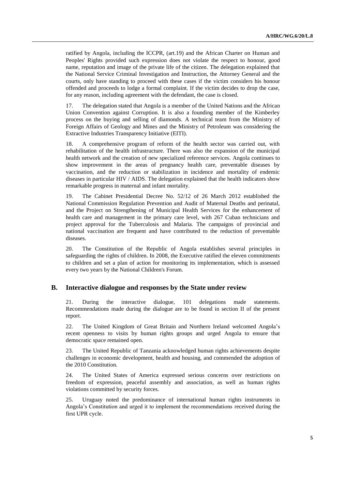ratified by Angola, including the ICCPR, (art.19) and the African Charter on Human and Peoples' Rights provided such expression does not violate the respect to honour, good name, reputation and image of the private life of the citizen. The delegation explained that the National Service Criminal Investigation and Instruction, the Attorney General and the courts, only have standing to proceed with these cases if the victim considers his honour offended and proceeds to lodge a formal complaint. If the victim decides to drop the case, for any reason, including agreement with the defendant, the case is closed.

17. The delegation stated that Angola is a member of the United Nations and the African Union Convention against Corruption. It is also a founding member of the Kimberley process on the buying and selling of diamonds. A technical team from the Ministry of Foreign Affairs of Geology and Mines and the Ministry of Petroleum was considering the Extractive Industries Transparency Initiative (EITI).

18. A comprehensive program of reform of the health sector was carried out, with rehabilitation of the health infrastructure. There was also the expansion of the municipal health network and the creation of new specialized reference services. Angola continues to show improvement in the areas of pregnancy health care, preventable diseases by vaccination, and the reduction or stabilization in incidence and mortality of endemic diseases in particular HIV / AIDS. The delegation explained that the health indicators show remarkable progress in maternal and infant mortality.

19. The Cabinet Presidential Decree No. 52/12 of 26 March 2012 established the National Commission Regulation Prevention and Audit of Maternal Deaths and perinatal, and the Project on Strengthening of Municipal Health Services for the enhancement of health care and management in the primary care level, with 267 Cuban technicians and project approval for the Tuberculosis and Malaria. The campaigns of provincial and national vaccination are frequent and have contributed to the reduction of preventable diseases.

20. The Constitution of the Republic of Angola establishes several principles in safeguarding the rights of children. In 2008, the Executive ratified the eleven commitments to children and set a plan of action for monitoring its implementation, which is assessed every two years by the National Children's Forum.

#### **B. Interactive dialogue and responses by the State under review**

21. During the interactive dialogue, 101 delegations made statements. Recommendations made during the dialogue are to be found in section II of the present report.

22. The United Kingdom of Great Britain and Northern Ireland welcomed Angola's recent openness to visits by human rights groups and urged Angola to ensure that democratic space remained open.

23. The United Republic of Tanzania acknowledged human rights achievements despite challenges in economic development, health and housing, and commended the adoption of the 2010 Constitution.

24. The United States of America expressed serious concerns over restrictions on freedom of expression, peaceful assembly and association, as well as human rights violations committed by security forces.

25. Uruguay noted the predominance of international human rights instruments in Angola's Constitution and urged it to implement the recommendations received during the first UPR cycle.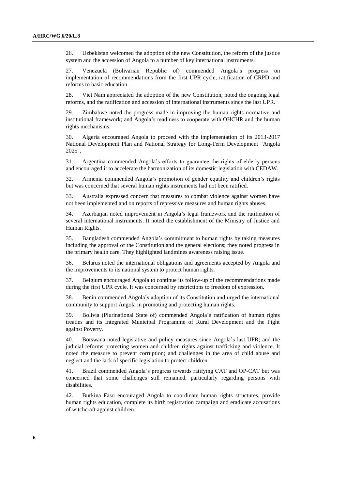26. Uzbekistan welcomed the adoption of the new Constitution, the reform of the justice system and the accession of Angola to a number of key international instruments.

27. Venezuela (Bolivarian Republic of) commended Angola's progress on implementation of recommendations from the first UPR cycle, ratification of CRPD and reforms to basic education.

28. Viet Nam appreciated the adoption of the new Constitution, noted the ongoing legal reforms, and the ratification and accession of international instruments since the last UPR.

29. Zimbabwe noted the progress made in improving the human rights normative and institutional framework; and Angola's readiness to cooperate with OHCHR and the human rights mechanisms.

30. Algeria encouraged Angola to proceed with the implementation of its 2013-2017 National Development Plan and National Strategy for Long-Term Development "Angola 2025".

31. Argentina commended Angola's efforts to guarantee the rights of elderly persons and encouraged it to accelerate the harmonization of its domestic legislation with CEDAW.

32. Armenia commended Angola's promotion of gender equality and children's rights but was concerned that several human rights instruments had not been ratified.

33. Australia expressed concern that measures to combat violence against women have not been implemented and on reports of repressive measures and human rights abuses.

34. Azerbaijan noted improvement in Angola's legal framework and the ratification of several international instruments. It noted the establishment of the Ministry of Justice and Human Rights.

35. Bangladesh commended Angola's commitment to human rights by taking measures including the approval of the Constitution and the general elections; they noted progress in the primary health care. They highlighted landmines awareness raising issue.

36. Belarus noted the international obligations and agreements accepted by Angola and the improvements to its national system to protect human rights.

37. Belgium encouraged Angola to continue its follow-up of the recommendations made during the first UPR cycle. It was concerned by restrictions to freedom of expression.

38. Benin commended Angola's adoption of its Constitution and urged the international community to support Angola in promoting and protecting human rights.

39. Bolivia (Plurinational State of) commended Angola's ratification of human rights treaties and its Integrated Municipal Programme of Rural Development and the Fight against Poverty.

40. Botswana noted legislative and policy measures since Angola's last UPR; and the judicial reforms protecting women and children rights against trafficking and violence. It noted the measure to prevent corruption; and challenges in the area of child abuse and neglect and the lack of specific legislation to protect children.

41. Brazil commended Angola's progress towards ratifying CAT and OP-CAT but was concerned that some challenges still remained, particularly regarding persons with disabilities.

42. Burkina Faso encouraged Angola to coordinate human rights structures, provide human rights education, complete its birth registration campaign and eradicate accusations of witchcraft against children.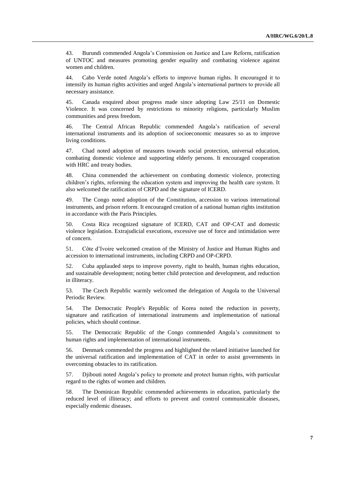43. Burundi commended Angola's Commission on Justice and Law Reform, ratification of UNTOC and measures promoting gender equality and combating violence against women and children.

44. Cabo Verde noted Angola's efforts to improve human rights. It encouraged it to intensify its human rights activities and urged Angola's international partners to provide all necessary assistance.

45. Canada enquired about progress made since adopting Law 25/11 on Domestic Violence. It was concerned by restrictions to minority religions, particularly Muslim communities and press freedom.

46. The Central African Republic commended Angola's ratification of several international instruments and its adoption of socioeconomic measures so as to improve living conditions.

47. Chad noted adoption of measures towards social protection, universal education, combating domestic violence and supporting elderly persons. It encouraged cooperation with HRC and treaty bodies.

48. China commended the achievement on combating domestic violence, protecting children's rights, reforming the education system and improving the health care system. It also welcomed the ratification of CRPD and the signature of ICERD.

49. The Congo noted adoption of the Constitution, accession to various international instruments, and prison reform. It encouraged creation of a national human rights institution in accordance with the Paris Principles.

50. Costa Rica recognized signature of ICERD, CAT and OP-CAT and domestic violence legislation. Extrajudicial executions, excessive use of force and intimidation were of concern.

51. Côte d'Ivoire welcomed creation of the Ministry of Justice and Human Rights and accession to international instruments, including CRPD and OP-CRPD.

52. Cuba applauded steps to improve poverty, right to health, human rights education, and sustainable development; noting better child protection and development, and reduction in illiteracy.

53. The Czech Republic warmly welcomed the delegation of Angola to the Universal Periodic Review.

54. The Democratic People's Republic of Korea noted the reduction in poverty, signature and ratification of international instruments and implementation of national policies, which should continue.

55. The Democratic Republic of the Congo commended Angola's commitment to human rights and implementation of international instruments.

56. Denmark commended the progress and highlighted the related initiative launched for the universal ratification and implementation of CAT in order to assist governments in overcoming obstacles to its ratification.

57. Djibouti noted Angola's policy to promote and protect human rights, with particular regard to the rights of women and children.

58. The Dominican Republic commended achievements in education, particularly the reduced level of illiteracy; and efforts to prevent and control communicable diseases, especially endemic diseases.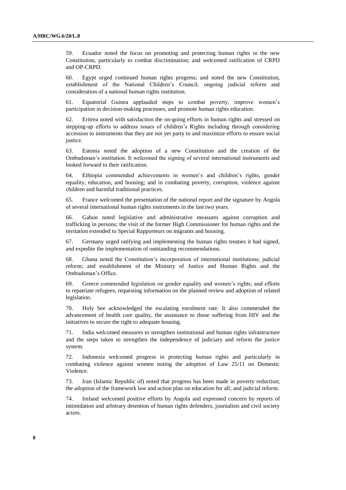59. Ecuador noted the focus on promoting and protecting human rights in the new Constitution, particularly to combat discrimination; and welcomed ratification of CRPD and OP-CRPD.

60. Egypt urged continued human rights progress; and noted the new Constitution, establishment of the National Children's Council, ongoing judicial reform and consideration of a national human rights institution.

61. Equatorial Guinea applauded steps to combat poverty, improve women's participation in decision-making processes, and promote human rights education.

62. Eritrea noted with satisfaction the on-going efforts in human rights and stressed on stepping-up efforts to address issues of children's Rights including through considering accession to instruments that they are not yet party to and maximize efforts to ensure social justice.

63. Estonia noted the adoption of a new Constitution and the creation of the Ombudsman's institution. It welcomed the signing of several international instruments and looked forward to their ratification.

64. Ethiopia commended achievements in women's and children's rights, gender equality, education, and housing; and in combating poverty, corruption, violence against children and harmful traditional practices.

65. France welcomed the presentation of the national report and the signature by Angola of several international human rights instruments in the last two years.

66. Gabon noted legislative and administrative measures against corruption and trafficking in persons; the visit of the former High Commissioner for human rights and the invitation extended to Special Rapporteurs on migrants and housing.

67. Germany urged ratifying and implementing the human rights treaties it had signed, and expedite the implementation of outstanding recommendations.

68. Ghana noted the Constitution's incorporation of international institutions; judicial reform; and establishment of the Ministry of Justice and Human Rights and the Ombudsman's Office.

69. Greece commended legislation on gender equality and women's rights; and efforts to repatriate refugees, requesting information on the planned review and adoption of related legislation.

70. Holy See acknowledged the escalating enrolment rate. It also commended the advancement of health care quality, the assistance to those suffering from HIV and the initiatives to secure the right to adequate housing.

71. India welcomed measures to strengthen institutional and human rights infrastructure and the steps taken to strengthen the independence of judiciary and reform the justice system.

72. Indonesia welcomed progress in protecting human rights and particularly in combating violence against women noting the adoption of Law 25/11 on Domestic Violence.

73. Iran (Islamic Republic of) noted that progress has been made in poverty reduction; the adoption of the framework law and action plan on education for all; and judicial reform.

74. Ireland welcomed positive efforts by Angola and expressed concern by reports of intimidation and arbitrary detention of human rights defenders, journalists and civil society actors.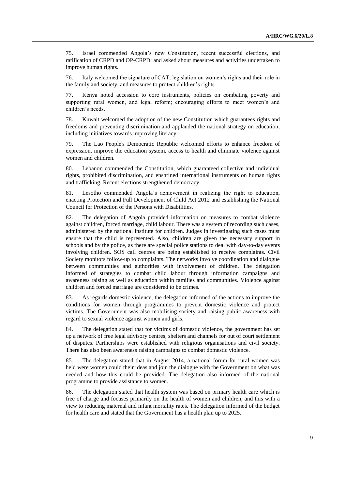75. Israel commended Angola's new Constitution, recent successful elections, and ratification of CRPD and OP-CRPD; and asked about measures and activities undertaken to improve human rights.

76. Italy welcomed the signature of CAT, legislation on women's rights and their role in the family and society, and measures to protect children's rights.

77. Kenya noted accession to core instruments, policies on combating poverty and supporting rural women, and legal reform; encouraging efforts to meet women's and children's needs.

78. Kuwait welcomed the adoption of the new Constitution which guarantees rights and freedoms and preventing discrimination and applauded the national strategy on education, including initiatives towards improving literacy.

79. The Lao People's Democratic Republic welcomed efforts to enhance freedom of expression, improve the education system, access to health and eliminate violence against women and children.

80. Lebanon commended the Constitution, which guaranteed collective and individual rights, prohibited discrimination, and enshrined international instruments on human rights and trafficking. Recent elections strengthened democracy.

81. Lesotho commended Angola's achievement in realizing the right to education, enacting Protection and Full Development of Child Act 2012 and establishing the National Council for Protection of the Persons with Disabilities.

82. The delegation of Angola provided information on measures to combat violence against children, forced marriage, child labour. There was a system of recording such cases, administered by the national institute for children. Judges in investigating such cases must ensure that the child is represented. Also, children are given the necessary support in schools and by the police, as there are special police stations to deal with day-to-day events involving children. SOS call centres are being established to receive complaints. Civil Society monitors follow-up to complaints. The networks involve coordination and dialogue between communities and authorities with involvement of children. The delegation informed of strategies to combat child labour through information campaigns and awareness raising as well as education within families and communities. Violence against children and forced marriage are considered to be crimes.

83. As regards domestic violence, the delegation informed of the actions to improve the conditions for women through programmes to prevent domestic violence and protect victims. The Government was also mobilising society and raising public awareness with regard to sexual violence against women and girls.

84. The delegation stated that for victims of domestic violence, the government has set up a network of free legal advisory centres, shelters and channels for out of court settlement of disputes. Partnerships were established with religious organisations and civil society. There has also been awareness raising campaigns to combat domestic violence.

85. The delegation stated that in August 2014, a national forum for rural women was held were women could their ideas and join the dialogue with the Government on what was needed and how this could be provided. The delegation also informed of the national programme to provide assistance to women.

86. The delegation stated that health system was based on primary health care which is free of charge and focuses primarily on the health of women and children, and this with a view to reducing maternal and infant mortality rates. The delegation informed of the budget for health care and stated that the Government has a health plan up to 2025.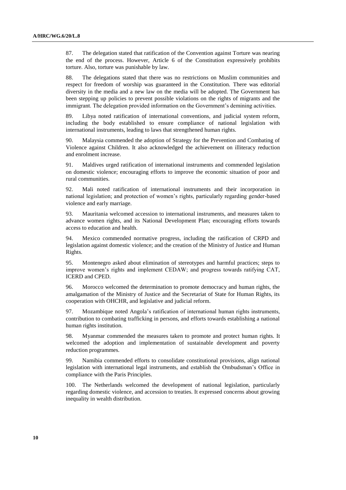87. The delegation stated that ratification of the Convention against Torture was nearing the end of the process. However, Article 6 of the Constitution expressively prohibits torture. Also, torture was punishable by law.

88. The delegations stated that there was no restrictions on Muslim communities and respect for freedom of worship was guaranteed in the Constitution. There was editorial diversity in the media and a new law on the media will be adopted. The Government has been stepping up policies to prevent possible violations on the rights of migrants and the immigrant. The delegation provided information on the Government's demining activities.

89. Libya noted ratification of international conventions, and judicial system reform, including the body established to ensure compliance of national legislation with international instruments, leading to laws that strengthened human rights.

90. Malaysia commended the adoption of Strategy for the Prevention and Combating of Violence against Children. It also acknowledged the achievement on illiteracy reduction and enrolment increase.

91. Maldives urged ratification of international instruments and commended legislation on domestic violence; encouraging efforts to improve the economic situation of poor and rural communities.

92. Mali noted ratification of international instruments and their incorporation in national legislation; and protection of women's rights, particularly regarding gender-based violence and early marriage.

93. Mauritania welcomed accession to international instruments, and measures taken to advance women rights, and its National Development Plan; encouraging efforts towards access to education and health.

94. Mexico commended normative progress, including the ratification of CRPD and legislation against domestic violence; and the creation of the Ministry of Justice and Human Rights.

95. Montenegro asked about elimination of stereotypes and harmful practices; steps to improve women's rights and implement CEDAW; and progress towards ratifying CAT, ICERD and CPED.

96. Morocco welcomed the determination to promote democracy and human rights, the amalgamation of the Ministry of Justice and the Secretariat of State for Human Rights, its cooperation with OHCHR, and legislative and judicial reform.

97. Mozambique noted Angola's ratification of international human rights instruments, contribution to combating trafficking in persons, and efforts towards establishing a national human rights institution.

98. Myanmar commended the measures taken to promote and protect human rights. It welcomed the adoption and implementation of sustainable development and poverty reduction programmes.

99. Namibia commended efforts to consolidate constitutional provisions, align national legislation with international legal instruments, and establish the Ombudsman's Office in compliance with the Paris Principles.

100. The Netherlands welcomed the development of national legislation, particularly regarding domestic violence, and accession to treaties. It expressed concerns about growing inequality in wealth distribution.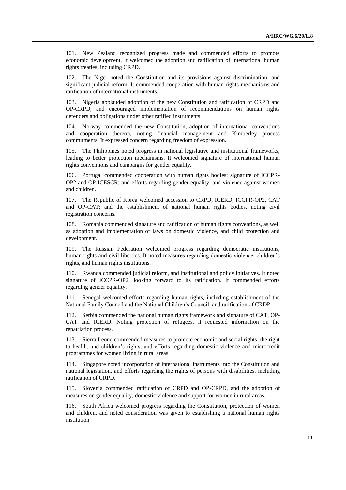101. New Zealand recognized progress made and commended efforts to promote economic development. It welcomed the adoption and ratification of international human rights treaties, including CRPD.

102. The Niger noted the Constitution and its provisions against discrimination, and significant judicial reform. It commended cooperation with human rights mechanisms and ratification of international instruments.

103. Nigeria applauded adoption of the new Constitution and ratification of CRPD and OP-CRPD, and encouraged implementation of recommendations on human rights defenders and obligations under other ratified instruments.

104. Norway commended the new Constitution, adoption of international conventions and cooperation thereon, noting financial management and Kimberley process commitments. It expressed concern regarding freedom of expression.

105. The Philippines noted progress in national legislative and institutional frameworks, leading to better protection mechanisms. It welcomed signature of international human rights conventions and campaigns for gender equality.

106. Portugal commended cooperation with human rights bodies; signature of ICCPR-OP2 and OP-ICESCR; and efforts regarding gender equality, and violence against women and children.

107. The Republic of Korea welcomed accession to CRPD, ICERD, ICCPR-OP2, CAT and OP-CAT; and the establishment of national human rights bodies, noting civil registration concerns.

108. Romania commended signature and ratification of human rights conventions, as well as adoption and implementation of laws on domestic violence, and child protection and development.

109. The Russian Federation welcomed progress regarding democratic institutions, human rights and civil liberties. It noted measures regarding domestic violence, children's rights, and human rights institutions.

110. Rwanda commended judicial reform, and institutional and policy initiatives. It noted signature of ICCPR-OP2, looking forward to its ratification. It commended efforts regarding gender equality.

111. Senegal welcomed efforts regarding human rights, including establishment of the National Family Council and the National Children's Council, and ratification of CRDP.

112. Serbia commended the national human rights framework and signature of CAT, OP-CAT and ICERD. Noting protection of refugees, it requested information on the repatriation process.

113. Sierra Leone commended measures to promote economic and social rights, the right to health, and children's rights, and efforts regarding domestic violence and microcredit programmes for women living in rural areas.

114. Singapore noted incorporation of international instruments into the Constitution and national legislation, and efforts regarding the rights of persons with disabilities, including ratification of CRPD.

115. Slovenia commended ratification of CRPD and OP-CRPD, and the adoption of measures on gender equality, domestic violence and support for women in rural areas.

116. South Africa welcomed progress regarding the Constitution, protection of women and children, and noted consideration was given to establishing a national human rights institution.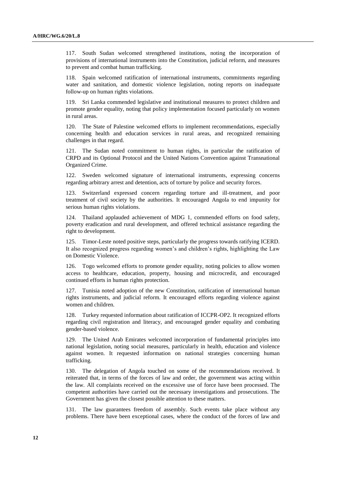117. South Sudan welcomed strengthened institutions, noting the incorporation of provisions of international instruments into the Constitution, judicial reform, and measures to prevent and combat human trafficking.

118. Spain welcomed ratification of international instruments, commitments regarding water and sanitation, and domestic violence legislation, noting reports on inadequate follow-up on human rights violations.

119. Sri Lanka commended legislative and institutional measures to protect children and promote gender equality, noting that policy implementation focused particularly on women in rural areas.

120. The State of Palestine welcomed efforts to implement recommendations, especially concerning health and education services in rural areas, and recognized remaining challenges in that regard.

121. The Sudan noted commitment to human rights, in particular the ratification of CRPD and its Optional Protocol and the United Nations Convention against Transnational Organized Crime.

122. Sweden welcomed signature of international instruments, expressing concerns regarding arbitrary arrest and detention, acts of torture by police and security forces.

123. Switzerland expressed concern regarding torture and ill-treatment, and poor treatment of civil society by the authorities. It encouraged Angola to end impunity for serious human rights violations.

124. Thailand applauded achievement of MDG 1, commended efforts on food safety, poverty eradication and rural development, and offered technical assistance regarding the right to development.

125. Timor-Leste noted positive steps, particularly the progress towards ratifying ICERD. It also recognized progress regarding women's and children's rights, highlighting the Law on Domestic Violence.

126. Togo welcomed efforts to promote gender equality, noting policies to allow women access to healthcare, education, property, housing and microcredit, and encouraged continued efforts in human rights protection.

127. Tunisia noted adoption of the new Constitution, ratification of international human rights instruments, and judicial reform. It encouraged efforts regarding violence against women and children.

128. Turkey requested information about ratification of ICCPR-OP2. It recognized efforts regarding civil registration and literacy, and encouraged gender equality and combating gender-based violence.

129. The United Arab Emirates welcomed incorporation of fundamental principles into national legislation, noting social measures, particularly in health, education and violence against women. It requested information on national strategies concerning human trafficking.

130. The delegation of Angola touched on some of the recommendations received. It reiterated that, in terms of the forces of law and order, the government was acting within the law. All complaints received on the excessive use of force have been processed. The competent authorities have carried out the necessary investigations and prosecutions. The Government has given the closest possible attention to these matters.

131. The law guarantees freedom of assembly. Such events take place without any problems. There have been exceptional cases, where the conduct of the forces of law and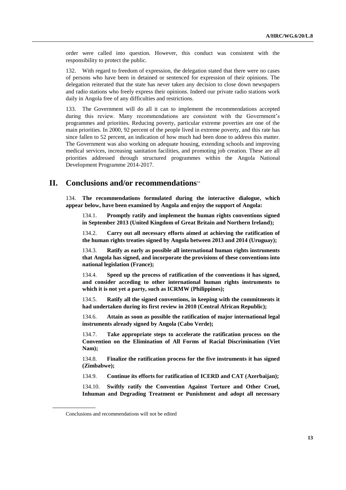order were called into question. However, this conduct was consistent with the responsibility to protect the public.

132. With regard to freedom of expression, the delegation stated that there were no cases of persons who have been in detained or sentenced for expression of their opinions. The delegation reiterated that the state has never taken any decision to close down newspapers and radio stations who freely express their opinions. Indeed our private radio stations work daily in Angola free of any difficulties and restrictions.

133. The Government will do all it can to implement the recommendations accepted during this review. Many recommendations are consistent with the Government's programmes and priorities. Reducing poverty, particular extreme poverties are one of the main priorities. In 2000, 92 percent of the people lived in extreme poverty, and this rate has since fallen to 52 percent, an indication of how much had been done to address this matter. The Government was also working on adequate housing, extending schools and improving medical services, increasing sanitation facilities, and promoting job creation. These are all priorities addressed through structured programmes within the Angola National Development Programme 2014-2017.

## **II. Conclusions and/or recommendations**

134. **The recommendations formulated during the interactive dialogue, which appear below, have been examined by Angola and enjoy the support of Angola:**

134.1. **Promptly ratify and implement the human rights conventions signed in September 2013 (United Kingdom of Great Britain and Northern Ireland);**

134.2. **Carry out all necessary efforts aimed at achieving the ratification of the human rights treaties signed by Angola between 2013 and 2014 (Uruguay);** 

134.3. **Ratify as early as possible all international human rights instruments that Angola has signed, and incorporate the provisions of these conventions into national legislation (France);** 

134.4. **Speed up the process of ratification of the conventions it has signed, and consider acceding to other international human rights instruments to which it is not yet a party, such as ICRMW (Philippines);** 

134.5. **Ratify all the signed conventions, in keeping with the commitments it had undertaken during its first review in 2010 (Central African Republic);** 

134.6. **Attain as soon as possible the ratification of major international legal instruments already signed by Angola (Cabo Verde);** 

134.7. **Take appropriate steps to accelerate the ratification process on the Convention on the Elimination of All Forms of Racial Discrimination (Viet Nam);** 

134.8. **Finalize the ratification process for the five instruments it has signed (Zimbabwe);** 

134.9. **Continue its efforts for ratification of ICERD and CAT (Azerbaijan);**

134.10. **Swiftly ratify the Convention Against Torture and Other Cruel, Inhuman and Degrading Treatment or Punishment and adopt all necessary** 

Conclusions and recommendations will not be edited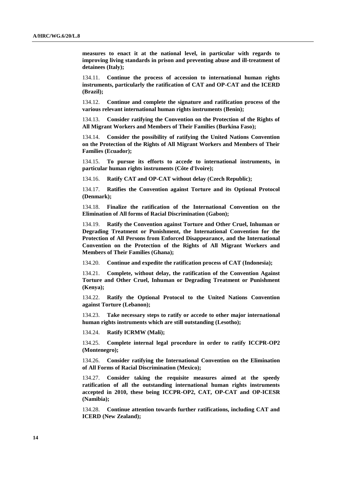**measures to enact it at the national level, in particular with regards to improving living standards in prison and preventing abuse and ill-treatment of detainees (Italy);** 

134.11. **Continue the process of accession to international human rights instruments, particularly the ratification of CAT and OP-CAT and the ICERD (Brazil);**

134.12. **Continue and complete the signature and ratification process of the various relevant international human rights instruments (Benin);** 

134.13. **Consider ratifying the Convention on the Protection of the Rights of All Migrant Workers and Members of Their Families (Burkina Faso);** 

134.14. **Consider the possibility of ratifying the United Nations Convention on the Protection of the Rights of All Migrant Workers and Members of Their Families (Ecuador);** 

134.15. **To pursue its efforts to accede to international instruments, in particular human rights instruments (Côte d'Ivoire);**

134.16. **Ratify CAT and OP-CAT without delay (Czech Republic);** 

134.17. **Ratifies the Convention against Torture and its Optional Protocol (Denmark);** 

134.18. **Finalize the ratification of the International Convention on the Elimination of All forms of Racial Discrimination (Gabon);** 

134.19. **Ratify the Convention against Torture and Other Cruel, Inhuman or Degrading Treatment or Punishment, the International Convention for the Protection of All Persons from Enforced Disappearance, and the International Convention on the Protection of the Rights of All Migrant Workers and Members of Their Families (Ghana);**

134.20. **Continue and expedite the ratification process of CAT (Indonesia);**

134.21. **Complete, without delay, the ratification of the Convention Against Torture and Other Cruel, Inhuman or Degrading Treatment or Punishment (Kenya);**

134.22. **Ratify the Optional Protocol to the United Nations Convention against Torture (Lebanon);** 

134.23. **Take necessary steps to ratify or accede to other major international human rights instruments which are still outstanding (Lesotho);**

134.24. **Ratify ICRMW (Mali);** 

134.25. **Complete internal legal procedure in order to ratify ICCPR-OP2 (Montenegro);**

134.26. **Consider ratifying the International Convention on the Elimination of All Forms of Racial Discrimination (Mexico);**

134.27. **Consider taking the requisite measures aimed at the speedy ratification of all the outstanding international human rights instruments accepted in 2010, these being ICCPR-OP2, CAT, OP-CAT and OP-ICESR (Namibia);**

134.28. **Continue attention towards further ratifications, including CAT and ICERD (New Zealand);**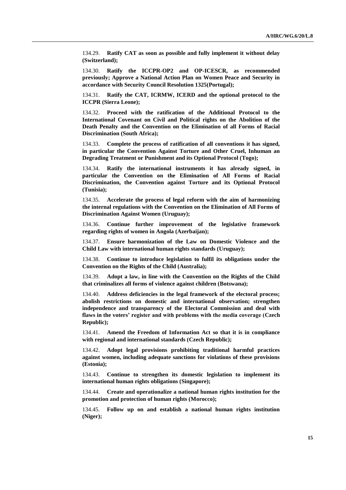134.29. **Ratify CAT as soon as possible and fully implement it without delay (Switzerland);**

134.30. **Ratify the ICCPR-OP2 and OP-ICESCR, as recommended previously; Approve a National Action Plan on Women Peace and Security in accordance with Security Council Resolution 1325(Portugal);**

134.31. **Ratify the CAT, ICRMW, ICERD and the optional protocol to the ICCPR (Sierra Leone);**

134.32. **Proceed with the ratification of the Additional Protocol to the International Covenant on Civil and Political rights on the Abolition of the Death Penalty and the Convention on the Elimination of all Forms of Racial Discrimination (South Africa);**

134.33. **Complete the process of ratification of all conventions it has signed, in particular the Convention Against Torture and Other Cruel, Inhuman an Degrading Treatment or Punishment and its Optional Protocol (Togo);**

134.34. **Ratify the international instruments it has already signed, in particular the Convention on the Elimination of All Forms of Racial Discrimination, the Convention against Torture and its Optional Protocol (Tunisia);** 

134.35. **Accelerate the process of legal reform with the aim of harmonizing the internal regulations with the Convention on the Elimination of All Forms of Discrimination Against Women (Uruguay);** 

134.36. **Continue further improvement of the legislative framework regarding rights of women in Angola (Azerbaijan);**

134.37. **Ensure harmonization of the Law on Domestic Violence and the Child Law with international human rights standards (Uruguay);**

134.38. **Continue to introduce legislation to fulfil its obligations under the Convention on the Rights of the Child (Australia);**

134.39. **Adopt a law, in line with the Convention on the Rights of the Child that criminalizes all forms of violence against children (Botswana);**

134.40. **Address deficiencies in the legal framework of the electoral process; abolish restrictions on domestic and international observation; strengthen independence and transparency of the Electoral Commission and deal with flaws in the voters' register and with problems with the media coverage (Czech Republic);**

134.41. **Amend the Freedom of Information Act so that it is in compliance with regional and international standards (Czech Republic);**

134.42. **Adopt legal provisions prohibiting traditional harmful practices against women, including adequate sanctions for violations of these provisions (Estonia);** 

134.43. **Continue to strengthen its domestic legislation to implement its international human rights obligations (Singapore);**

134.44. **Create and operationalize a national human rights institution for the promotion and protection of human rights (Morocco);**

134.45. **Follow up on and establish a national human rights institution (Niger);**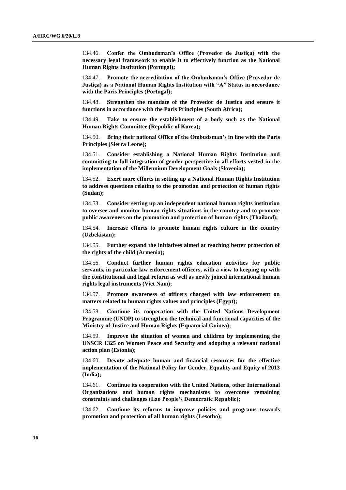134.46. **Confer the Ombudsman's Office (Provedor de Justiça) with the necessary legal framework to enable it to effectively function as the National Human Rights Institution (Portugal);**

134.47. **Promote the accreditation of the Ombudsman's Office (Provedor de Justiça) as a National Human Rights Institution with "A" Status in accordance with the Paris Principles (Portugal);**

134.48. **Strengthen the mandate of the Provedor de Justica and ensure it functions in accordance with the Paris Principles (South Africa);**

134.49. **Take to ensure the establishment of a body such as the National Human Rights Committee (Republic of Korea);**

134.50. **Bring their national Office of the Ombudsman's in line with the Paris Principles (Sierra Leone);**

134.51. **Consider establishing a National Human Rights Institution and committing to full integration of gender perspective in all efforts vested in the implementation of the Millennium Development Goals (Slovenia);**

134.52. **Exert more efforts in setting up a National Human Rights Institution to address questions relating to the promotion and protection of human rights (Sudan);**

134.53. **Consider setting up an independent national human rights institution to oversee and monitor human rights situations in the country and to promote public awareness on the promotion and protection of human rights (Thailand);**

134.54. **Increase efforts to promote human rights culture in the country (Uzbekistan);**

134.55. **Further expand the initiatives aimed at reaching better protection of the rights of the child (Armenia);**

134.56. **Conduct further human rights education activities for public servants, in particular law enforcement officers, with a view to keeping up with the constitutional and legal reform as well as newly joined international human rights legal instruments (Viet Nam);**

134.57. **Promote awareness of officers charged with law enforcement on matters related to human rights values and principles (Egypt);**

134.58. **Continue its cooperation with the United Nations Development Programme (UNDP) to strengthen the technical and functional capacities of the Ministry of Justice and Human Rights (Equatorial Guinea);**

134.59. **Improve the situation of women and children by implementing the UNSCR 1325 on Women Peace and Security and adopting a relevant national action plan (Estonia);**

134.60. **Devote adequate human and financial resources for the effective implementation of the National Policy for Gender, Equality and Equity of 2013 (India);**

134.61. **Continue its cooperation with the United Nations, other International Organizations and human rights mechanisms to overcome remaining constraints and challenges (Lao People's Democratic Republic);** 

134.62. **Continue its reforms to improve policies and programs towards promotion and protection of all human rights (Lesotho);**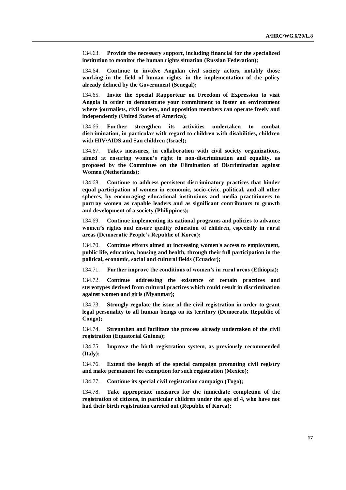134.63. **Provide the necessary support, including financial for the specialized institution to monitor the human rights situation (Russian Federation);**

134.64. **Continue to involve Angolan civil society actors, notably those working in the field of human rights, in the implementation of the policy already defined by the Government (Senegal);**

134.65. **Invite the Special Rapporteur on Freedom of Expression to visit Angola in order to demonstrate your commitment to foster an environment where journalists, civil society, and opposition members can operate freely and independently (United States of America);**

134.66. **Further strengthen its activities undertaken to combat discrimination, in particular with regard to children with disabilities, children with HIV/AIDS and San children (Israel);**

134.67. **Takes measures, in collaboration with civil society organizations, aimed at ensuring women's right to non-discrimination and equality, as proposed by the Committee on the Elimination of Discrimination against Women (Netherlands);**

134.68. **Continue to address persistent discriminatory practices that hinder equal participation of women in economic, socio-civic, political, and all other spheres, by encouraging educational institutions and media practitioners to portray women as capable leaders and as significant contributors to growth and development of a society (Philippines);**

134.69. **Continue implementing its national programs and policies to advance women's rights and ensure quality education of children, especially in rural areas (Democratic People's Republic of Korea);**

134.70. **Continue efforts aimed at increasing women's access to employment, public life, education, housing and health, through their full participation in the political, economic, social and cultural fields (Ecuador);**

134.71. **Further improve the conditions of women's in rural areas (Ethiopia);**

134.72. **Continue addressing the existence of certain practices and stereotypes derived from cultural practices which could result in discrimination against women and girls (Myanmar);**

134.73. **Strongly regulate the issue of the civil registration in order to grant legal personality to all human beings on its territory (Democratic Republic of Congo);**

134.74. **Strengthen and facilitate the process already undertaken of the civil registration (Equatorial Guinea);**

134.75. **Improve the birth registration system, as previously recommended (Italy);**

134.76. **Extend the length of the special campaign promoting civil registry and make permanent fee exemption for such registration (Mexico);**

134.77. **Continue its special civil registration campaign (Togo);**

134.78. **Take appropriate measures for the immediate completion of the registration of citizens, in particular children under the age of 4, who have not had their birth registration carried out (Republic of Korea);**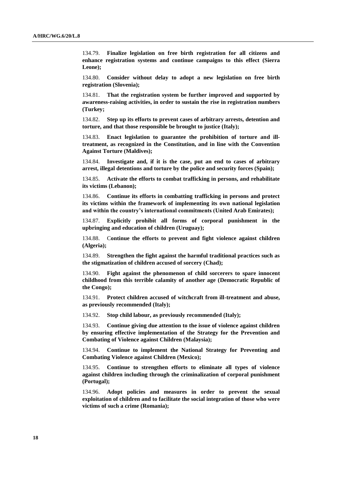134.79. **Finalize legislation on free birth registration for all citizens and enhance registration systems and continue campaigns to this effect (Sierra Leone);**

134.80. **Consider without delay to adopt a new legislation on free birth registration (Slovenia);**

134.81. **That the registration system be further improved and supported by awareness-raising activities, in order to sustain the rise in registration numbers (Turkey;**

134.82. **Step up its efforts to prevent cases of arbitrary arrests, detention and torture, and that those responsible be brought to justice (Italy);**

Enact legislation to guarantee the prohibition of torture and ill**treatment, as recognized in the Constitution, and in line with the Convention Against Torture (Maldives);**

134.84. **Investigate and, if it is the case, put an end to cases of arbitrary arrest, illegal detentions and torture by the police and security forces (Spain);**

134.85. **Activate the efforts to combat trafficking in persons, and rehabilitate its victims (Lebanon);**

134.86. **Continue its efforts in combatting trafficking in persons and protect its victims within the framework of implementing its own national legislation and within the country's international commitments (United Arab Emirates);**

134.87. **Explicitly prohibit all forms of corporal punishment in the upbringing and education of children (Uruguay);**

134.88. C**ontinue the efforts to prevent and fight violence against children (Algeria);**

134.89. **Strengthen the fight against the harmful traditional practices such as the stigmatization of children accused of sorcery (Chad);**

134.90. **Fight against the phenomenon of child sorcerers to spare innocent childhood from this terrible calamity of another age (Democratic Republic of the Congo);**

134.91. **Protect children accused of witchcraft from ill-treatment and abuse, as previously recommended (Italy);**

134.92. **Stop child labour, as previously recommended (Italy);**

134.93. **Continue giving due attention to the issue of violence against children by ensuring effective implementation of the Strategy for the Prevention and Combating of Violence against Children (Malaysia);**

134.94. **Continue to implement the National Strategy for Preventing and Combating Violence against Children (Mexico);**

134.95. **Continue to strengthen efforts to eliminate all types of violence against children including through the criminalization of corporal punishment (Portugal);**

134.96. **Adopt policies and measures in order to prevent the sexual exploitation of children and to facilitate the social integration of those who were victims of such a crime (Romania);**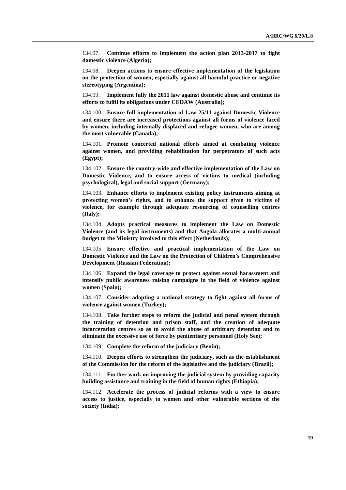134.97. **Continue efforts to implement the action plan 2013-2017 to fight domestic violence (Algeria);**

134.98. **Deepen actions to ensure effective implementation of the legislation on the protection of women, especially against all harmful practice or negative stereotyping (Argentina);**

134.99. **Implement fully the 2011 law against domestic abuse and continue its efforts to fulfil its obligations under CEDAW (Australia);**

134.100. **Ensure full implementation of Law 25/11 against Domestic Violence and ensure there are increased protections against all forms of violence faced by women, including internally displaced and refugee women, who are among the most vulnerable (Canada);**

134.101. **Promote concerted national efforts aimed at combating violence against women, and providing rehabilitation for perpetrators of such acts (Egypt);**

134.102. **Ensure the country-wide and effective implementation of the Law on Domestic Violence, and to ensure access of victims to medical (including psychological), legal and social support (Germany);**

134.103. **Enhance efforts to implement existing policy instruments aiming at protecting women's rights, and to enhance the support given to victims of violence, for example through adequate resourcing of counselling centres (Italy);**

134.104. **Adopts practical measures to implement the Law on Domestic Violence (and its legal instruments) and that Angola allocates a multi-annual budget to the Ministry involved to this effect (Netherlands);**

134.105. **Ensure effective and practical implementation of the Law on Domestic Violence and the Law on the Protection of Children's Comprehensive Development (Russian Federation);**

134.106. **Expand the legal coverage to protect against sexual harassment and intensify public awareness raising campaigns in the field of violence against women (Spain);**

134.107. **Consider adopting a national strategy to fight against all forms of violence against women (Turkey);**

134.108. **Take further steps to reform the judicial and penal system through the training of detention and prison staff, and the creation of adequate incarceration centres so as to avoid the abuse of arbitrary detention and to eliminate the excessive use of force by penitentiary personnel (Holy See);**

134.109. **Complete the reform of the judiciary (Benin);**

134.110. **Deepen efforts to strengthen the judiciary, such as the establishment of the Commission for the reform of the legislative and the judiciary (Brazil);**

134.111. **Further work on improving the judicial system by providing capacity building assistance and training in the field of human rights (Ethiopia);**

134.112. **Accelerate the process of judicial reforms with a view to ensure access to justice, especially to women and other vulnerable sections of the society (India);**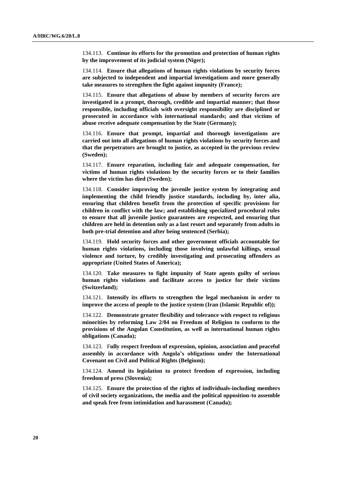134.113. **Continue its efforts for the promotion and protection of human rights by the improvement of its judicial system (Niger);**

134.114. **Ensure that allegations of human rights violations by security forces are subjected to independent and impartial investigations and more generally take measures to strengthen the fight against impunity (France);**

134.115. **Ensure that allegations of abuse by members of security forces are investigated in a prompt, thorough, credible and impartial manner; that those responsible, including officials with oversight responsibility are disciplined or prosecuted in accordance with international standards; and that victims of abuse receive adequate compensation by the State (Germany);**

134.116. **Ensure that prompt, impartial and thorough investigations are carried out into all allegations of human rights violations by security forces and that the perpetrators are brought to justice, as accepted in the previous review (Sweden);**

134.117. **Ensure reparation, including fair and adequate compensation, for victims of human rights violations by the security forces or to their families where the victim has died (Sweden);**

134.118. **Consider improving the juvenile justice system by integrating and implementing the child friendly justice standards, including by, inter alia, ensuring that children benefit from the protection of specific provisions for children in conflict with the law; and establishing specialized procedural rules to ensure that all juvenile justice guarantees are respected, and ensuring that children are held in detention only as a last resort and separately from adults in both pre-trial detention and after being sentenced (Serbia);**

134.119. **Hold security forces and other government officials accountable for human rights violations, including those involving unlawful killings, sexual violence and torture, by credibly investigating and prosecuting offenders as appropriate (United States of America);**

134.120. **Take measures to fight impunity of State agents guilty of serious human rights violations and facilitate access to justice for their victims (Switzerland);**

134.121. **Intensify its efforts to strengthen the legal mechanism in order to improve the access of people to the justice system (Iran (Islamic Republic of));**

134.122. **Demonstrate greater flexibility and tolerance with respect to religious minorities by reforming Law 2/04 on Freedom of Religion to conform to the provisions of the Angolan Constitution, as well as international human rights obligations (Canada);**

134.123. F**ully respect freedom of expression, opinion, association and peaceful assembly in accordance with Angola's obligations under the International Covenant on Civil and Political Rights (Belgium);**

134.124. **Amend its legislation to protect freedom of expression, including freedom of press (Slovenia);**

134.125. **Ensure the protection of the rights of individuals-including members of civil society organizations, the media and the political opposition-to assemble and speak free from intimidation and harassment (Canada);**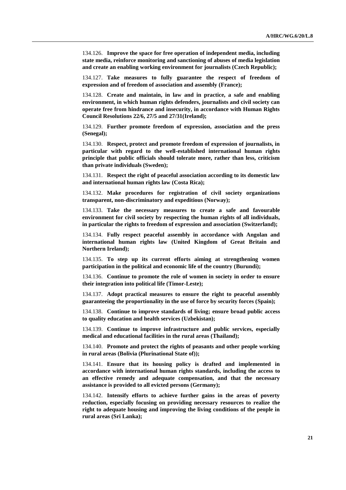134.126. **Improve the space for free operation of independent media, including state media, reinforce monitoring and sanctioning of abuses of media legislation and create an enabling working environment for journalists (Czech Republic);**

134.127. **Take measures to fully guarantee the respect of freedom of expression and of freedom of association and assembly (France);**

134.128. **Create and maintain, in law and in practice, a safe and enabling environment, in which human rights defenders, journalists and civil society can operate free from hindrance and insecurity, in accordance with Human Rights Council Resolutions 22/6, 27/5 and 27/31(Ireland);**

134.129. **Further promote freedom of expression, association and the press (Senegal);**

134.130. **Respect, protect and promote freedom of expression of journalists, in particular with regard to the well-established international human rights principle that public officials should tolerate more, rather than less, criticism than private individuals (Sweden);**

134.131. **Respect the right of peaceful association according to its domestic law and international human rights law (Costa Rica);**

134.132. **Make procedures for registration of civil society organizations transparent, non-discriminatory and expeditious (Norway);**

134.133. **Take the necessary measures to create a safe and favourable environment for civil society by respecting the human rights of all individuals, in particular the rights to freedom of expression and association (Switzerland);**

134.134. **Fully respect peaceful assembly in accordance with Angolan and international human rights law (United Kingdom of Great Britain and Northern Ireland);**

134.135. **To step up its current efforts aiming at strengthening women participation in the political and economic life of the country (Burundi);**

134.136. **Continue to promote the role of women in society in order to ensure their integration into political life (Timor-Leste);**

134.137. **Adopt practical measures to ensure the right to peaceful assembly guaranteeing the proportionality in the use of force by security forces (Spain);**

134.138. **Continue to improve standards of living; ensure broad public access to quality education and health services (Uzbekistan);**

134.139. **Continue to improve infrastructure and public services, especially medical and educational facilities in the rural areas (Thailand);**

134.140. **Promote and protect the rights of peasants and other people working in rural areas (Bolivia (Plurinational State of));**

134.141. **Ensure that its housing policy is drafted and implemented in accordance with international human rights standards, including the access to an effective remedy and adequate compensation, and that the necessary assistance is provided to all evicted persons (Germany);**

134.142. **Intensify efforts to achieve further gains in the areas of poverty reduction, especially focusing on providing necessary resources to realize the right to adequate housing and improving the living conditions of the people in rural areas (Sri Lanka);**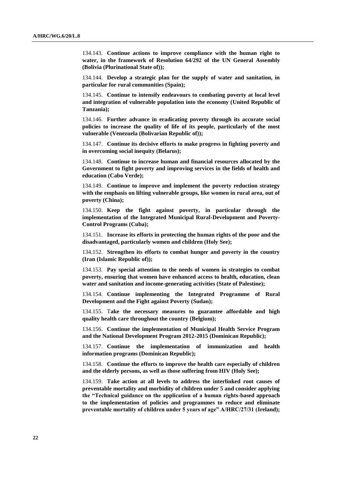134.143. **Continue actions to improve compliance with the human right to water, in the framework of Resolution 64/292 of the UN General Assembly (Bolivia (Plurinational State of));**

134.144. **Develop a strategic plan for the supply of water and sanitation, in particular for rural communities (Spain);**

134.145. **Continue to intensify endeavours to combating poverty at local level and integration of vulnerable population into the economy (United Republic of Tanzania);**

134.146. **Further advance in eradicating poverty through its accurate social policies to increase the quality of life of its people, particularly of the most vulnerable (Venezuela (Bolivarian Republic of));**

134.147. **Continue its decisive efforts to make progress in fighting poverty and in overcoming social inequity (Belarus);**

134.148. **Continue to increase human and financial resources allocated by the Government to fight poverty and improving services in the fields of health and education (Cabo Verde);**

134.149. **Continue to improve and implement the poverty reduction strategy with the emphasis on lifting vulnerable groups, like women in rural area, out of poverty (China);**

134.150. **Keep the fight against poverty, in particular through the implementation of the Integrated Municipal Rural-Development and Poverty-Control Programs (Cuba);**

134.151. **Increase its efforts in protecting the human rights of the poor and the disadvantaged, particularly women and children (Holy See);**

134.152. **Strengthen its efforts to combat hunger and poverty in the country (Iran (Islamic Republic of));**

134.153. **Pay special attention to the needs of women in strategies to combat poverty, ensuring that women have enhanced access to health, education, clean water and sanitation and income-generating activities (State of Palestine);**

134.154. **Continue implementing the Integrated Programme of Rural Development and the Fight against Poverty (Sudan);**

134.155. T**ake the necessary measures to guarantee affordable and high quality health care throughout the country (Belgium);**

134.156. **Continue the implementation of Municipal Health Service Program and the National Development Program 2012-2015 (Dominican Republic);** 

134.157. **Continue the implementation of immunization and health information programs (Dominican Republic);**

134.158. **Continue the efforts to improve the health care especially of children and the elderly persons, as well as those suffering from HIV (Holy See);**

134.159. **Take action at all levels to address the interlinked root causes of preventable mortality and morbidity of children under 5 and consider applying the "Technical guidance on the application of a human rights-based approach to the implementation of policies and programmes to reduce and eliminate preventable mortality of children under 5 years of age" A/HRC/27/31 (Ireland);**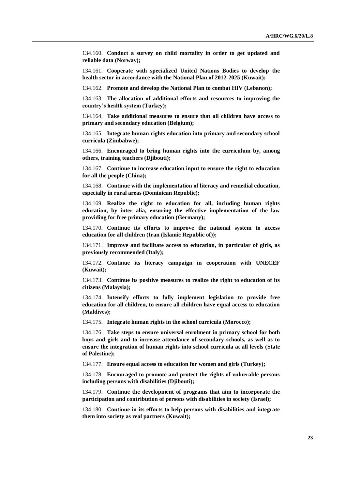134.160. **Conduct a survey on child mortality in order to get updated and reliable data (Norway);**

134.161. **Cooperate with specialized United Nations Bodies to develop the health sector in accordance with the National Plan of 2012-2025 (Kuwait);**

134.162. **Promote and develop the National Plan to combat HIV (Lebanon);** 

134.163. **The allocation of additional efforts and resources to improving the country's health system (Turkey);**

134.164. **Take additional measures to ensure that all children have access to primary and secondary education (Belgium);**

134.165. **Integrate human rights education into primary and secondary school curricula (Zimbabwe);**

134.166. **Encouraged to bring human rights into the curriculum by, among others, training teachers (Djibouti);**

134.167. **Continue to increase education input to ensure the right to education for all the people (China);**

134.168. **Continue with the implementation of literacy and remedial education, especially in rural areas (Dominican Republic);**

134.169. **Realize the right to education for all, including human rights education, by inter alia, ensuring the effective implementation of the law providing for free primary education (Germany);**

134.170. **Continue its efforts to improve the national system to access education for all children (Iran (Islamic Republic of));**

134.171. **Improve and facilitate access to education, in particular of girls, as previously recommended (Italy);**

134.172. **Continue its literacy campaign in cooperation with UNECEF (Kuwait);**

134.173. **Continue its positive measures to realize the right to education of its citizens (Malaysia);**

134.174. **Intensify efforts to fully implement legislation to provide free education for all children, to ensure all children have equal access to education (Maldives);**

134.175. **Integrate human rights in the school curricula (Morocco);**

134.176. **Take steps to ensure universal enrolment in primary school for both boys and girls and to increase attendance of secondary schools, as well as to ensure the integration of human rights into school curricula at all levels (State of Palestine);**

134.177. **Ensure equal access to education for women and girls (Turkey);**

134.178. **Encouraged to promote and protect the rights of vulnerable persons including persons with disabilities (Djibouti);**

134.179. **Continue the development of programs that aim to incorporate the participation and contribution of persons with disabilities in society (Israel);** 

134.180. **Continue in its efforts to help persons with disabilities and integrate them into society as real partners (Kuwait);**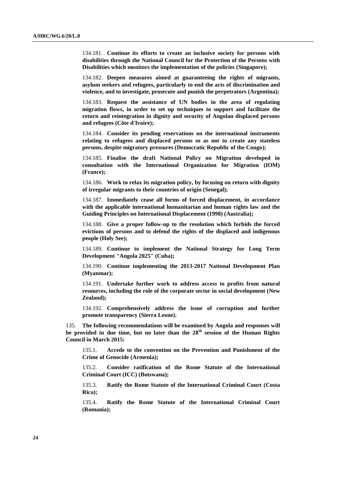134.181. **Continue its efforts to create an inclusive society for persons with disabilities through the National Council for the Protection of the Persons with Disabilities which monitors the implementation of the policies (Singapore);**

134.182. **Deepen measures aimed at guaranteeing the rights of migrants, asylum seekers and refugees, particularly to end the acts of discrimination and violence, and to investigate, prosecute and punish the perpetrators (Argentina);**

134.183. **Request the assistance of UN bodies in the area of regulating migration flows, in order to set up techniques to support and facilitate the return and reintegration in dignity and security of Angolan displaced persons and refugees (Côte d'Ivoire);**

134.184. **Consider its pending reservations on the international instruments relating to refugees and displaced persons so as not to create any stateless persons, despite migratory pressures (Democratic Republic of the Congo);**

134.185. **Finalise the draft National Policy on Migration developed in consultation with the International Organization for Migration (IOM) (France);**

134.186. **Work to relax its migration policy, by focusing on return with dignity of irregular migrants to their countries of origin (Senegal);**

134.187. **Immediately cease all forms of forced displacement, in accordance with the applicable international humanitarian and human rights law and the Guiding Principles on International Displacement (1998) (Australia);**

134.188. **Give a proper follow-up to the resolution which forbids the forced evictions of persons and to defend the rights of the displaced and indigenous people (Holy See);**

134.189. **Continue to implement the National Strategy for Long Term Development "Angola 2025" (Cuba);**

134.190. **Continue implementing the 2013-2017 National Development Plan (Myanmar);**

134.191. **Undertake further work to address access to profits from natural resources, including the role of the corporate sector in social development (New Zealand);**

134.192. **Comprehensively address the issue of corruption and further promote transparency (Sierra Leone).**

135. **The following recommendations will be examined by Angola and responses will**  be provided in due time, but no later than the 28<sup>th</sup> session of the Human Rights **Council in March 2015:**

135.1. **Accede to the convention on the Prevention and Punishment of the Crime of Genocide (Armenia);**

135.2. **Consider ratification of the Rome Statute of the International Criminal Court (ICC) (Botswana);** 

135.3. **Ratify the Rome Statute of the International Criminal Court (Costa Rica);**

135.4. **Ratify the Rome Statute of the International Criminal Court (Romania);**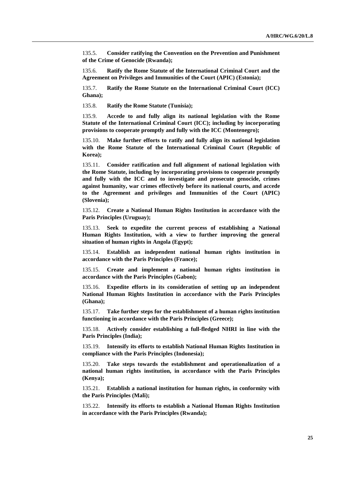135.5. **Consider ratifying the Convention on the Prevention and Punishment of the Crime of Genocide (Rwanda);**

135.6. **Ratify the Rome Statute of the International Criminal Court and the Agreement on Privileges and Immunities of the Court (APIC) (Estonia);**

135.7. **Ratify the Rome Statute on the International Criminal Court (ICC) Ghana);**

135.8. **Ratify the Rome Statute (Tunisia);**

135.9. **Accede to and fully align its national legislation with the Rome Statute of the International Criminal Court (ICC); including by incorporating provisions to cooperate promptly and fully with the ICC (Montenegro);**

135.10. **Make further efforts to ratify and fully align its national legislation with the Rome Statute of the International Criminal Court (Republic of Korea);**

135.11. **Consider ratification and full alignment of national legislation with the Rome Statute, including by incorporating provisions to cooperate promptly and fully with the ICC and to investigate and prosecute genocide, crimes against humanity, war crimes effectively before its national courts, and accede to the Agreement and privileges and Immunities of the Court (APIC) (Slovenia);**

135.12. **Create a National Human Rights Institution in accordance with the Paris Principles (Uruguay);**

135.13. **Seek to expedite the current process of establishing a National Human Rights Institution, with a view to further improving the general situation of human rights in Angola (Egypt);**

135.14. **Establish an independent national human rights institution in accordance with the Paris Principles (France);**

135.15. **Create and implement a national human rights institution in accordance with the Paris Principles (Gabon);**

135.16. **Expedite efforts in its consideration of setting up an independent National Human Rights Institution in accordance with the Paris Principles (Ghana);**

135.17. **Take further steps for the establishment of a human rights institution functioning in accordance with the Paris Principles (Greece);**

135.18. **Actively consider establishing a full-fledged NHRI in line with the Paris Principles (India);**

135.19. **Intensify its efforts to establish National Human Rights Institution in compliance with the Paris Principles (Indonesia);**

135.20. **Take steps towards the establishment and operationalization of a national human rights institution, in accordance with the Paris Principles (Kenya);**

135.21. **Establish a national institution for human rights, in conformity with the Paris Principles (Mali);**

135.22. **Intensify its efforts to establish a National Human Rights Institution in accordance with the Paris Principles (Rwanda);**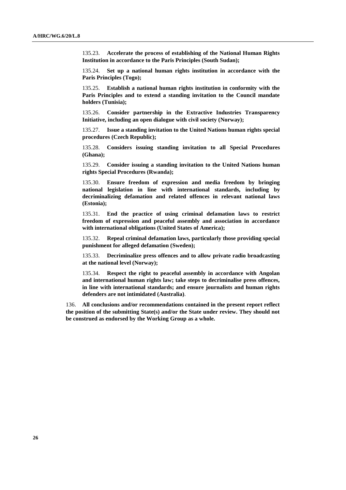135.23. **Accelerate the process of establishing of the National Human Rights Institution in accordance to the Paris Principles (South Sudan);**

135.24. **Set up a national human rights institution in accordance with the Paris Principles (Togo);**

135.25. **Establish a national human rights institution in conformity with the Paris Principles and to extend a standing invitation to the Council mandate holders (Tunisia);**

135.26. **Consider partnership in the Extractive Industries Transparency Initiative, including an open dialogue with civil society (Norway);** 

135.27. **Issue a standing invitation to the United Nations human rights special procedures (Czech Republic);**

135.28. **Considers issuing standing invitation to all Special Procedures (Ghana);**

135.29. **Consider issuing a standing invitation to the United Nations human rights Special Procedures (Rwanda);**

135.30. **Ensure freedom of expression and media freedom by bringing national legislation in line with international standards, including by decriminalizing defamation and related offences in relevant national laws (Estonia);**

135.31. **End the practice of using criminal defamation laws to restrict freedom of expression and peaceful assembly and association in accordance with international obligations (United States of America);**

135.32. **Repeal criminal defamation laws, particularly those providing special punishment for alleged defamation (Sweden);**

135.33. **Decriminalize press offences and to allow private radio broadcasting at the national level (Norway);**

135.34. **Respect the right to peaceful assembly in accordance with Angolan and international human rights law; take steps to decriminalise press offences, in line with international standards; and ensure journalists and human rights defenders are not intimidated (Australia)**.

136. **All conclusions and/or recommendations contained in the present report reflect the position of the submitting State(s) and/or the State under review. They should not be construed as endorsed by the Working Group as a whole.**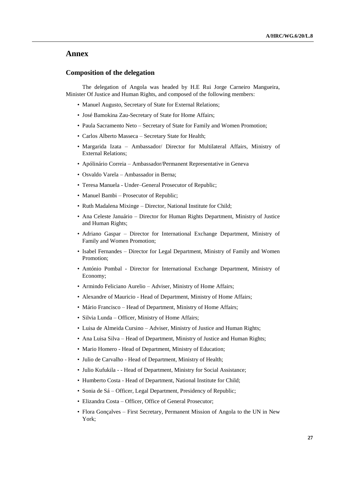## **Annex**

#### **Composition of the delegation**

The delegation of Angola was headed by H.E Rui Jorge Carneiro Mangueira, Minister Of Justice and Human Rights, and composed of the following members:

- Manuel Augusto, Secretary of State for External Relations;
- José Bamokina Zau-Secretary of State for Home Affairs;
- Paula Sacramento Neto Secretary of State for Family and Women Promotion;
- Carlos Alberto Masseca Secretary State for Health;
- Margarida Izata Ambassador/ Director for Multilateral Affairs, Ministry of External Relations;
- Apólinário Correia Ambassador/Permanent Representative in Geneva
- Osvaldo Varela Ambassador in Berna;
- Teresa Manuela Under–General Prosecutor of Republic;
- Manuel Bambi Prosecutor of Republic;
- Ruth Madalena Mixinge Director, National Institute for Child;
- Ana Celeste Januário Director for Human Rights Department, Ministry of Justice and Human Rights;
- Adriano Gaspar Director for International Exchange Department, Ministry of Family and Women Promotion;
- Isabel Fernandes Director for Legal Department, Ministry of Family and Women Promotion;
- António Pombal Director for International Exchange Department, Ministry of Economy;
- Armindo Feliciano Aurelio Adviser, Ministry of Home Affairs;
- Alexandre of Mauricio Head of Department, Ministry of Home Affairs;
- Mário Francisco Head of Department, Ministry of Home Affairs;
- Silvia Lunda Officer, Ministry of Home Affairs;
- Luisa de Almeida Cursino Adviser, Ministry of Justice and Human Rights;
- Ana Luisa Silva Head of Department, Ministry of Justice and Human Rights;
- Mario Homero Head of Department, Ministry of Education;
- Julio de Carvalho Head of Department, Ministry of Health;
- Julio Kufukila - Head of Department, Ministry for Social Assistance;
- Humberto Costa Head of Department, National Institute for Child;
- Sonia de Sá Officer, Legal Department, Presidency of Republic;
- Elizandra Costa Officer, Office of General Prosecutor;
- Flora Gonçalves First Secretary, Permanent Mission of Angola to the UN in New York;